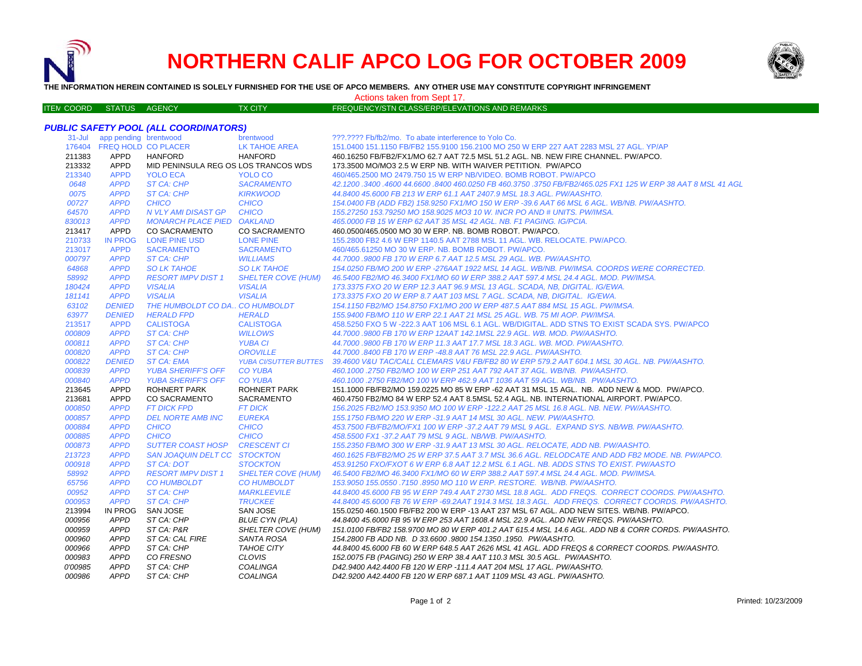

ITE M

# **NORTHERN CALIF APCO LOG FOR OCTOBER 2009**



**THE INFORMATION HEREIN CONTAINED IS SOLELY FURNISHED FOR THE USE OF APCO MEMBERS. ANY OTHER USE MAY CONSTITUTE COPYRIGHT INFRINGEMENT**

#### Actions taken from Sept 17.

#### TX CITY FREQUENCY/STN CLASS/ERP/ELEVATIONS AND REMARKS

## *PUBLIC SAFETY POOL (ALL COORDINATORS)*

| $31 -$ Jul | app pending brentwood      |                                      | brentwood                    | ???.???? Fb/fb2/mo. To abate interference to Yolo Co.                                                      |
|------------|----------------------------|--------------------------------------|------------------------------|------------------------------------------------------------------------------------------------------------|
|            | 176404 FREQ HOLD CO PLACER |                                      | <b>LK TAHOE AREA</b>         | 151.0400 151.1150 FB/FB2 155.9100 156.2100 MO 250 W ERP 227 AAT 2283 MSL 27 AGL, YP/AP                     |
| 211383     | APPD                       | <b>HANFORD</b>                       | <b>HANFORD</b>               | 460.16250 FB/FB2/FX1/MO 62.7 AAT 72.5 MSL 51.2 AGL. NB. NEW FIRE CHANNEL. PW/APCO.                         |
| 213332     | APPD                       | MID PENINSULA REG OS LOS TRANCOS WDS |                              | 173.3500 MO/MO3 2.5 W ERP NB. WITH WAIVER PETITION. PW/APCO                                                |
| 213340     | <b>APPD</b>                | <b>YOLO ECA</b>                      | YOLO CO                      | 460/465.2500 MO 2479.750 15 W ERP NB/VIDEO. BOMB ROBOT. PW/APCO                                            |
| 0648       | <b>APPD</b>                | <b>ST CA: CHP</b>                    | <b>SACRAMENTO</b>            | 42,1200,3400,4600 44,6600,8400 460,0250 FB 460,3750 ,3750 FB/FB2/465,025 FX1 125 W ERP 38 AAT 8 MSL 41 AGL |
| 0075       | <b>APPD</b>                | ST CA: CHP                           | <b>KIRKWOOD</b>              | 44.8400 45.6000 FB 213 W ERP 61.1 AAT 2407.9 MSL 18.3 AGL. PW/AASHTO.                                      |
| 00727      | <b>APPD</b>                | <b>CHICO</b>                         | <b>CHICO</b>                 | 154.0400 FB (ADD FB2) 158.9250 FX1/MO 150 W ERP -39.6 AAT 66 MSL 6 AGL. WB/NB. PW/AASHTO.                  |
| 64570      | <b>APPD</b>                | N VLY AMI DISAST GP                  | <b>CHICO</b>                 | 155.27250 153.79250 MO 158.9025 MO3 10 W. INCR PO AND # UNITS. PW/IMSA.                                    |
| 830013     | <b>APPD</b>                | <b>MONARCH PLACE PIED</b>            | <b>OAKLAND</b>               | 465.0000 FB 15 W ERP 62 AAT 35 MSL 42 AGL. NB. F1 PAGING. IG/PCIA.                                         |
| 213417     | <b>APPD</b>                | <b>CO SACRAMENTO</b>                 | <b>CO SACRAMENTO</b>         | 460.0500/465.0500 MO 30 W ERP. NB. BOMB ROBOT, PW/APCO.                                                    |
| 210733     | <b>IN PROG</b>             | <b>LONE PINE USD</b>                 | <b>LONE PINE</b>             | 155,2800 FB2 4.6 W ERP 1140.5 AAT 2788 MSL 11 AGL, WB, RELOCATE, PW/APCO,                                  |
| 213017     | <b>APPD</b>                | <b>SACRAMENTO</b>                    | <b>SACRAMENTO</b>            | 460/465.61250 MO 30 W ERP. NB. BOMB ROBOT. PW/APCO.                                                        |
| 000797     | <b>APPD</b>                | ST CA: CHP                           | <b>WILLIAMS</b>              | 44.7000 .9800 FB 170 W ERP 6.7 AAT 12.5 MSL 29 AGL, WB, PW/AASHTO,                                         |
| 64868      | <b>APPD</b>                | <b>SO LK TAHOE</b>                   | <b>SO LK TAHOE</b>           | 154.0250 FB/MO 200 W ERP -276AAT 1922 MSL 14 AGL, WB/NB, PW/IMSA, COORDS WERE CORRECTED.                   |
| 58992      | <b>APPD</b>                | <b>RESORT IMPV DIST 1</b>            | <b>SHELTER COVE (HUM)</b>    | 46.5400 FB2/MO 46.3400 FX1/MO 60 W ERP 388.2 AAT 597.4 MSL 24.4 AGL, MOD, PW/IMSA.                         |
| 180424     | <b>APPD</b>                | <b>VISALIA</b>                       | <b>VISALIA</b>               | 173.3375 FXO 20 W ERP 12.3 AAT 96.9 MSL 13 AGL, SCADA, NB, DIGITAL, IG/EWA,                                |
| 181141     | <b>APPD</b>                | <b>VISALIA</b>                       | <b>VISALIA</b>               | 173.3375 FXO 20 W ERP 8.7 AAT 103 MSL 7 AGL. SCADA, NB, DIGITAL. IG/EWA.                                   |
| 63102      | <b>DENIED</b>              | THE HUMBOLDT CO DA., CO HUMBOLDT     |                              | 154.1150 FB2/MO 154.8750 FX1/MO 200 W ERP 487.5 AAT 884 MSL 15 AGL. PW/IMSA.                               |
| 63977      | <b>DENIED</b>              | <b>HERALD FPD</b>                    | <b>HERALD</b>                | 155.9400 FB/MO 110 W ERP 22.1 AAT 21 MSL 25 AGL, WB, 75 MI AOP, PW/IMSA.                                   |
| 213517     | <b>APPD</b>                | <b>CALISTOGA</b>                     | <b>CALISTOGA</b>             | 458.5250 FXO 5 W -222.3 AAT 106 MSL 6.1 AGL. WB/DIGITAL. ADD STNS TO EXIST SCADA SYS. PW/APCO              |
| 000809     | <b>APPD</b>                | ST CA: CHP                           | <b>WILLOWS</b>               | 44.7000 .9800 FB 170 W ERP 12AAT 142.1MSL 22.9 AGL. WB. MOD. PW/AASHTO.                                    |
| 000811     | <b>APPD</b>                | ST CA: CHP                           | <b>YUBA CI</b>               | 44.7000.9800 FB 170 W ERP 11.3 AAT 17.7 MSL 18.3 AGL. WB. MOD. PW/AASHTO.                                  |
| 000820     | <b>APPD</b>                | <b>ST CA: CHP</b>                    | <b>OROVILLE</b>              | 44.7000 .8400 FB 170 W ERP -48.8 AAT 76 MSL 22.9 AGL. PW/AASHTO.                                           |
| 000822     | <b>DENIED</b>              | <b>ST CA: EMA</b>                    | <b>YUBA CI/SUTTER BUTTES</b> | 39.4600 V&U TAC/CALL CLEMARS V&U FB/FB2 80 W ERP 579.2 AAT 604.1 MSL 30 AGL. NB. PW/AASHTO.                |
| 000839     | <b>APPD</b>                | <b>YUBA SHERIFF'S OFF</b>            | <b>CO YUBA</b>               | 460.1000.2750 FB2/MO 100 W ERP 251 AAT 792 AAT 37 AGL. WB/NB. PW/AASHTO.                                   |
| 000840     | <b>APPD</b>                | <b>YUBA SHERIFF'S OFF</b>            | <b>CO YUBA</b>               | 460.1000.2750 FB2/MO 100 W ERP 462.9 AAT 1036 AAT 59 AGL. WB/NB. PW/AASHTO.                                |
| 213645     | <b>APPD</b>                | <b>ROHNERT PARK</b>                  | <b>ROHNERT PARK</b>          | 151.1000 FB/FB2/MO 159.0225 MO 85 W ERP -62 AAT 31 MSL 15 AGL. NB. ADD NEW & MOD. PW/APCO.                 |
| 213681     | <b>APPD</b>                | <b>CO SACRAMENTO</b>                 | <b>SACRAMENTO</b>            | 460.4750 FB2/MO 84 W ERP 52.4 AAT 8.5MSL 52.4 AGL. NB. INTERNATIONAL AIRPORT. PW/APCO.                     |
| 000850     | <b>APPD</b>                | <b>FT DICK FPD</b>                   | <b>FT DICK</b>               | 156.2025 FB2/MO 153.9350 MO 100 W ERP -122.2 AAT 25 MSL 16.8 AGL. NB. NEW. PW/AASHTO.                      |
| 000857     | <b>APPD</b>                | <b>DEL NORTE AMB INC</b>             | <b>EUREKA</b>                | 155.1750 FB/MO 220 W ERP -31.9 AAT 14 MSL 30 AGL. NEW. PW/AASHTO.                                          |
| 000884     | <b>APPD</b>                | <b>CHICO</b>                         | <b>CHICO</b>                 | 453.7500 FB/FB2/MO/FX1 100 W ERP -37.2 AAT 79 MSL 9 AGL. EXPAND SYS. NB/WB. PW/AASHTO.                     |
| 000885     | <b>APPD</b>                | <b>CHICO</b>                         | <b>CHICO</b>                 | 458.5500 FX1-37.2 AAT 79 MSL 9 AGL, NB/WB, PW/AASHTO,                                                      |
| 000873     | <b>APPD</b>                | <b>SUTTER COAST HOSP</b>             | <b>CRESCENT CI</b>           | 155.2350 FB/MO 300 W ERP -31.9 AAT 13 MSL 30 AGL. RELOCATE. ADD NB. PW/AASHTO.                             |
| 213723     | <b>APPD</b>                | SAN JOAQUIN DELT CC STOCKTON         |                              | 460.1625 FB/FB2/MO 25 W ERP 37.5 AAT 3.7 MSL 36.6 AGL. RELODCATE AND ADD FB2 MODE. NB. PW/APCO.            |
| 000918     | <b>APPD</b>                | <b>ST CA: DOT</b>                    | <b>STOCKTON</b>              | 453.91250 FXO/FXOT 6 W ERP 6.8 AAT 12.2 MSL 6.1 AGL. NB. ADDS STNS TO EXIST. PW/AASTO                      |
| 58992      | <b>APPD</b>                | <b>RESORT IMPV DIST 1</b>            | <b>SHELTER COVE (HUM)</b>    | 46.5400 FB2/MO 46.3400 FX1/MO 60 W ERP 388.2 AAT 597.4 MSL 24.4 AGL, MOD, PW/IMSA.                         |
| 65756      | <b>APPD</b>                | <b>CO HUMBOLDT</b>                   | <b>CO HUMBOLDT</b>           | 153.9050 155.0550 .7150 .8950 MO 110 W ERP. RESTORE. WB/NB. PW/AASHTO.                                     |
| 00952      | <b>APPD</b>                | <b>ST CA: CHP</b>                    | <b>MARKLEEVILE</b>           | 44.8400 45.6000 FB 95 W ERP 749.4 AAT 2730 MSL 18.8 AGL. ADD FREQS. CORRECT COORDS. PW/AASHTO.             |
| 000953     | <b>APPD</b>                | <b>ST CA: CHP</b>                    | <b>TRUCKEE</b>               | 44.8400 45.6000 FB 76 W ERP -69.2AAT 1914.3 MSL 18.3 AGL. ADD FREQS. CORRECT COORDS. PW/AASHTO.            |
| 213994     | <b>IN PROG</b>             | SAN JOSE                             | <b>SAN JOSE</b>              | 155.0250 460.1500 FB/FB2 200 W ERP -13 AAT 237 MSL 67 AGL. ADD NEW SITES. WB/NB. PW/APCO.                  |
| 000956     | <b>APPD</b>                | ST CA: CHP                           | <b>BLUE CYN (PLA)</b>        | 44.8400 45.6000 FB 95 W ERP 253 AAT 1608.4 MSL 22.9 AGL. ADD NEW FREQS. PW/AASHTO.                         |
| 000959     | <b>APPD</b>                | ST CA: P&R                           | SHELTER COVE (HUM)           | 151.0100 FB/FB2 158.9700 MO 80 W ERP 401.2 AAT 615.4 MSL 14.6 AGL. ADD NB & CORR CORDS. PW/AASHTO.         |
| 000960     | <b>APPD</b>                | ST CA: CAL FIRE                      | SANTA ROSA                   | 154.2800 FB ADD NB. D 33.6600 .9800 154.1350 .1950. PW/AASHTO.                                             |
| 000966     | <b>APPD</b>                | ST CA: CHP                           | <b>TAHOE CITY</b>            | 44.8400 45.6000 FB 60 W ERP 648.5 AAT 2626 MSL 41 AGL. ADD FREQS & CORRECT COORDS. PW/AASHTO.              |
| 000983     | <b>APPD</b>                | CO FRESNO                            | <b>CLOVIS</b>                | 152.0075 FB (PAGING) 250 W ERP 38.4 AAT 110.3 MSL 30.5 AGL. PW/AASHTO.                                     |
| 0'00985    | <b>APPD</b>                | ST CA: CHP                           | <b>COALINGA</b>              | D42.9400 A42.4400 FB 120 W ERP -111.4 AAT 204 MSL 17 AGL. PW/AASHTO.                                       |
| 000986     | <b>APPD</b>                | ST CA: CHP                           | COALINGA                     | D42.9200 A42.4400 FB 120 W ERP 687.1 AAT 1109 MSL 43 AGL. PW/AASHTO.                                       |